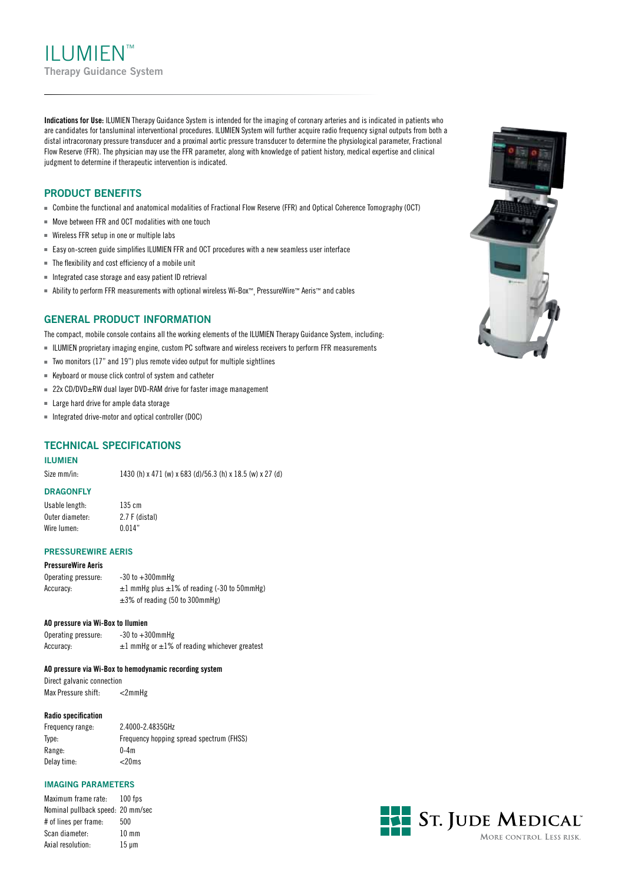II UMIEN™ **Therapy Guidance System**

**Indications for Use:** ILUMIEN Therapy Guidance System is intended for the imaging of coronary arteries and is indicated in patients who are candidates for tansluminal interventional procedures. ILUMIEN System will further acquire radio frequency signal outputs from both a distal intracoronary pressure transducer and a proximal aortic pressure transducer to determine the physiological parameter, Fractional Flow Reserve (FFR). The physician may use the FFR parameter, along with knowledge of patient history, medical expertise and clinical judgment to determine if therapeutic intervention is indicated.

#### **Product Benefits**

- <sup>n</sup> Combine the functional and anatomical modalities of Fractional Flow Reserve (FFR) and Optical Coherence Tomography (OCT)
- $N$  Move between FFR and OCT modalities with one touch
- $\blacksquare$  Wireless FFR setup in one or multiple labs
- Easy on-screen guide simplifies ILUMIEN FFR and OCT procedures with a new seamless user interface
- $\blacksquare$  The flexibility and cost efficiency of a mobile unit
- $\blacksquare$  Integrated case storage and easy patient ID retrieval
- Ability to perform FFR measurements with optional wireless Wi-Box™, PressureWire™ Aeris™ and cables

#### **General Product Information**

The compact, mobile console contains all the working elements of the ILUMIEN Therapy Guidance System, including:

- <sup>n</sup> Ilumien proprietary imaging engine, custom PC software and wireless receivers to perform FFR measurements
- $\blacksquare$  Two monitors (17" and 19") plus remote video output for multiple sightlines
- $\blacksquare$  Keyboard or mouse click control of system and catheter
- $=$  22x CD/DVD $\pm$ RW dual layer DVD-RAM drive for faster image management
- $\blacksquare$  Large hard drive for ample data storage
- n Integrated drive-motor and optical controller (DOC)

#### **Technical Specifications**

#### **Ilumien**

Size mm/in: 1430 (h) x 471 (w) x 683 (d)/56.3 (h) x 18.5 (w) x 27 (d)

#### **Dragonfly**

Usable length: 135 cm Outer diameter: 2.7 F (distal) Wire lumen: 0.014"

#### **Pressurewire Aeris**

#### **PressureWire Aeris**

Operating pressure: -30 to +300mmHg Accuracy:  $\pm 1$  mmHg plus  $\pm 1\%$  of reading (-30 to 50mmHg) ±3% of reading (50 to 300mmHg)

#### **AO pressure via Wi-Box to Ilumien**

Operating pressure: -30 to +300mmHg Accuracy:  $\pm 1$  mmHg or  $\pm 1$ % of reading whichever greatest

#### **AO pressure via Wi-Box to hemodynamic recording system**

Direct galvanic connection Max Pressure shift: <2mmHg

#### **Radio specification**

| Frequency range: | 2.4000-2.4835GHz                         |
|------------------|------------------------------------------|
| Type:            | Frequency hopping spread spectrum (FHSS) |
| Range:           | $0-4m$                                   |
| Delay time:      | $<$ 20ms                                 |

#### **Imaging Parameters**

Maximum frame rate: 100 fps Nominal pullback speed: 20 mm/sec # of lines per frame: 500 Scan diameter: 10 mm Axial resolution: 15 μm